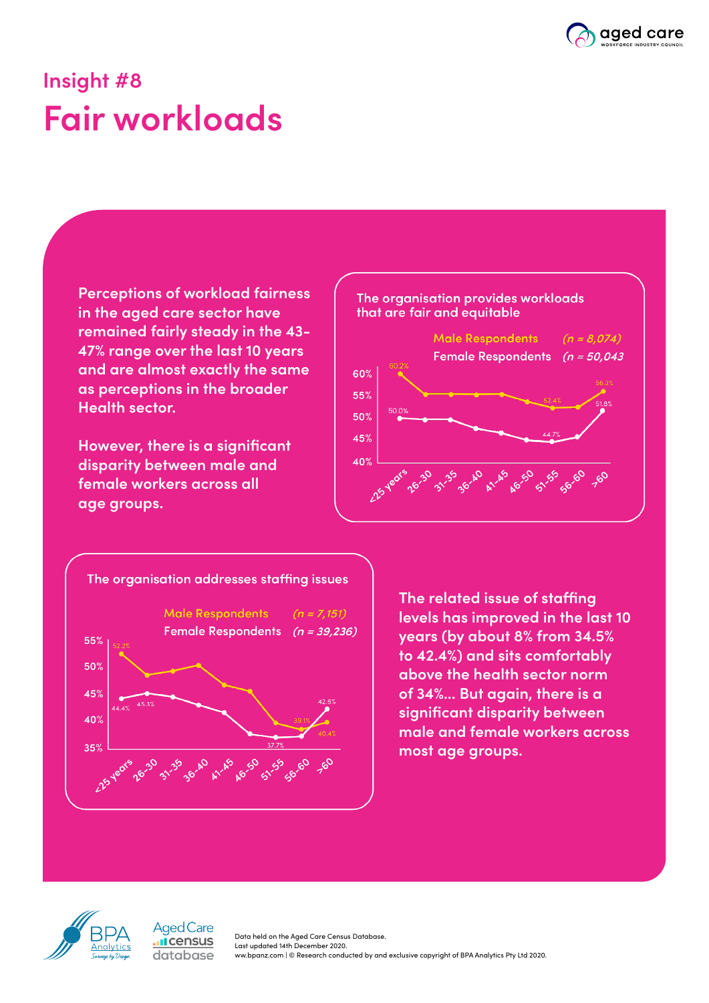

## **Insight #8 Fair workloads**

**Perceptions of workload fairness in the aged care sector have remained fairly steady in the 43- 47% range over the last 10 years and are almost exactly the same as perceptions in the broader Health sector.**

**However, there is a significant disparity between male and female workers across all age groups.**





**The related issue of staffing levels has improved in the last 10 years (by about 8% from 34.5% to 42.4%) and sits comfortably above the health sector norm of 34%... But again, there is a significant disparity between male and female workers across most age groups.**